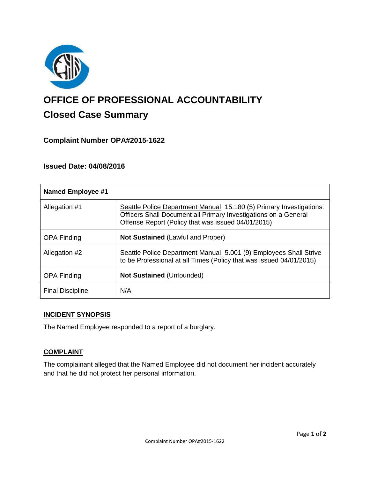

# **OFFICE OF PROFESSIONAL ACCOUNTABILITY Closed Case Summary**

# **Complaint Number OPA#2015-1622**

# **Issued Date: 04/08/2016**

| <b>Named Employee #1</b> |                                                                                                                                                                                              |
|--------------------------|----------------------------------------------------------------------------------------------------------------------------------------------------------------------------------------------|
| Allegation #1            | Seattle Police Department Manual 15.180 (5) Primary Investigations:<br>Officers Shall Document all Primary Investigations on a General<br>Offense Report (Policy that was issued 04/01/2015) |
| <b>OPA Finding</b>       | <b>Not Sustained (Lawful and Proper)</b>                                                                                                                                                     |
| Allegation #2            | Seattle Police Department Manual 5.001 (9) Employees Shall Strive<br>to be Professional at all Times (Policy that was issued 04/01/2015)                                                     |
| <b>OPA Finding</b>       | <b>Not Sustained (Unfounded)</b>                                                                                                                                                             |
| <b>Final Discipline</b>  | N/A                                                                                                                                                                                          |

#### **INCIDENT SYNOPSIS**

The Named Employee responded to a report of a burglary.

## **COMPLAINT**

The complainant alleged that the Named Employee did not document her incident accurately and that he did not protect her personal information.